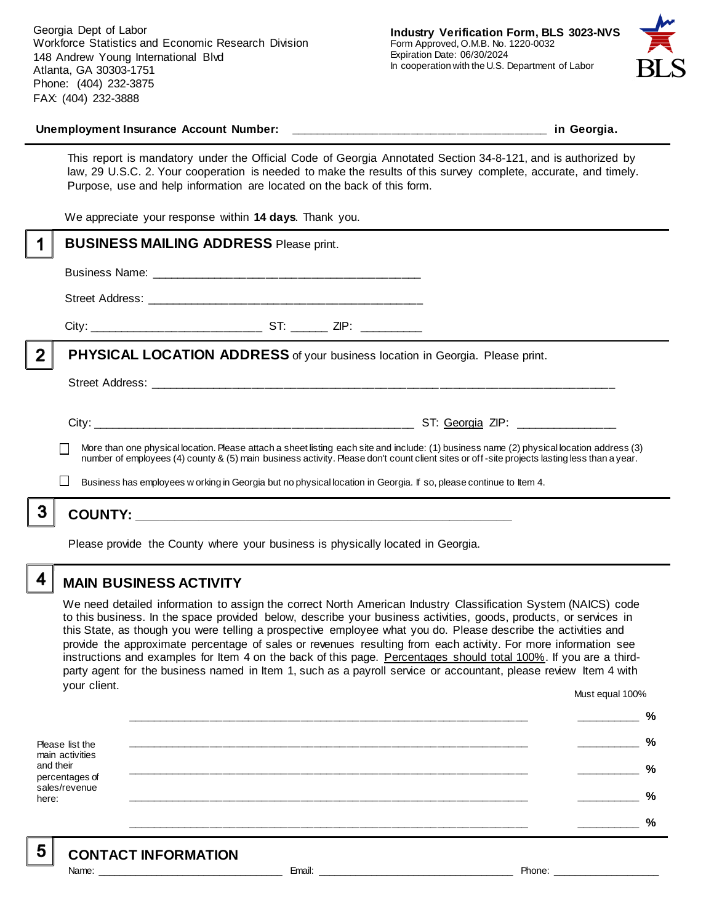Georgia Dept of Labor Workforce Statistics and Economic Research Division 148 Andrew Young International Blvd Atlanta, GA 30303-1751 Phone: (404) 232-3875 FAX: (404) 232-3888



#### **Unemployment Insurance Account Number: \_\_\_\_\_\_\_\_\_\_\_\_\_\_\_\_\_\_\_\_\_\_\_\_\_\_\_\_\_\_\_\_\_\_\_\_\_\_\_\_ in Georgia.**

This report is mandatory under the Official Code of Georgia Annotated Section 34-8-121, and is authorized by law, 29 U.S.C. 2. Your cooperation is needed to make the results of this survey complete, accurate, and timely. Purpose, use and help information are located on the back of this form.

We appreciate your response within **14 days**. Thank you.

|                | <b>BUSINESS MAILING ADDRESS Please print.</b>                                                                                                                                                                                                                                            |
|----------------|------------------------------------------------------------------------------------------------------------------------------------------------------------------------------------------------------------------------------------------------------------------------------------------|
|                |                                                                                                                                                                                                                                                                                          |
|                |                                                                                                                                                                                                                                                                                          |
|                |                                                                                                                                                                                                                                                                                          |
| $\overline{2}$ | <b>PHYSICAL LOCATION ADDRESS</b> of your business location in Georgia. Please print.                                                                                                                                                                                                     |
|                |                                                                                                                                                                                                                                                                                          |
|                |                                                                                                                                                                                                                                                                                          |
|                | More than one physical location. Please attach a sheet listing each site and include: (1) business name (2) physical location address (3)<br>number of employees (4) county & (5) main business activity. Please don't count client sites or off-site projects lasting less than a year. |
|                | Business has employees w orking in Georgia but no physical location in Georgia. If so, please continue to Item 4.                                                                                                                                                                        |
| 3              |                                                                                                                                                                                                                                                                                          |
|                | Please provide the County where your business is physically located in Georgia.                                                                                                                                                                                                          |

### **MAIN BUSINESS ACTIVITY**

We need detailed information to assign the correct North American Industry Classification System (NAICS) code to this business. In the space provided below, describe your business activities, goods, products, or services in this State, as though you were telling a prospective employee what you do. Please describe the activities and provide the approximate percentage of sales or revenues resulting from each activity. For more information see instructions and examples for Item 4 on the back of this page. Percentages should total 100%. If you are a thirdparty agent for the business named in Item 1, such as a payroll service or accountant, please review Item 4 with your client. Must equal 100%

Please list the main activities and their percentages of sales/revenue here: **\_\_\_\_\_\_\_\_\_\_\_\_\_\_\_\_\_\_\_\_\_\_\_\_\_\_\_\_\_\_\_\_\_\_\_\_\_\_\_\_\_\_\_\_\_\_\_\_\_\_\_\_\_\_\_\_\_\_\_\_\_\_ \_\_\_\_\_\_\_\_\_\_ % \_\_\_\_\_\_\_\_\_\_\_\_\_\_\_\_\_\_\_\_\_\_\_\_\_\_\_\_\_\_\_\_\_\_\_\_\_\_\_\_\_\_\_\_\_\_\_\_\_\_\_\_\_\_\_\_\_\_\_\_\_\_ \_\_\_\_\_\_\_\_\_\_ % \_\_\_\_\_\_\_\_\_\_\_\_\_\_\_\_\_\_\_\_\_\_\_\_\_\_\_\_\_\_\_\_\_\_\_\_\_\_\_\_\_\_\_\_\_\_\_\_\_\_\_\_\_\_\_\_\_\_\_\_\_\_ \_\_\_\_\_\_\_\_\_\_ % \_\_\_\_\_\_\_\_\_\_\_\_\_\_\_\_\_\_\_\_\_\_\_\_\_\_\_\_\_\_\_\_\_\_\_\_\_\_\_\_\_\_\_\_\_\_\_\_\_\_\_\_\_\_\_\_\_\_\_\_\_\_ \_\_\_\_\_\_\_\_\_\_ % \_\_\_\_\_\_\_\_\_\_\_\_\_\_\_\_\_\_\_\_\_\_\_\_\_\_\_\_\_\_\_\_\_\_\_\_\_\_\_\_\_\_\_\_\_\_\_\_\_\_\_\_\_\_\_\_\_\_\_\_\_\_ \_\_\_\_\_\_\_\_\_\_ %**

5

4